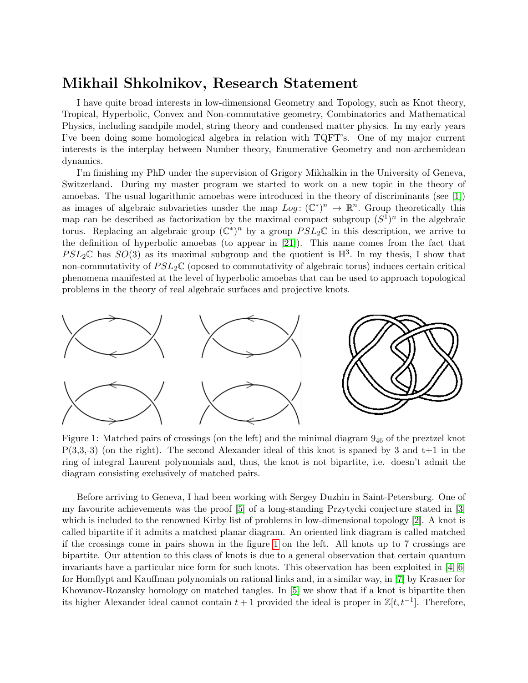## Mikhail Shkolnikov, Research Statement

I have quite broad interests in low-dimensional Geometry and Topology, such as Knot theory, Tropical, Hyperbolic, Convex and Non-commutative geometry, Combinatorics and Mathematical Physics, including sandpile model, string theory and condensed matter physics. In my early years I've been doing some homological algebra in relation with TQFT's. One of my major current interests is the interplay between Number theory, Enumerative Geometry and non-archemidean dynamics.

I'm finishing my PhD under the supervision of Grigory Mikhalkin in the University of Geneva, Switzerland. During my master program we started to work on a new topic in the theory of amoebas. The usual logarithmic amoebas were introduced in the theory of discriminants (see [\[1\]](#page-5-0)) as images of algebraic subvarieties unsder the map  $Log: (\mathbb{C}^*)^n \to \mathbb{R}^n$ . Group theoretically this map can be described as factorization by the maximal compact subgroup  $(S^1)^n$  in the algebraic torus. Replacing an algebraic group  $(\mathbb{C}^*)^n$  by a group  $PSL_2\mathbb{C}$  in this description, we arrive to the definition of hyperbolic amoebas (to appear in [\[21\]](#page-6-0)). This name comes from the fact that  $PSL_2\mathbb{C}$  has  $SO(3)$  as its maximal subgroup and the quotient is  $\mathbb{H}^3$ . In my thesis, I show that non-commutativity of  $PSL_2\mathbb{C}$  (oposed to commutativity of algebraic torus) induces certain critical phenomena manifested at the level of hyperbolic amoebas that can be used to approach topological problems in the theory of real algebraic surfaces and projective knots.

<span id="page-0-0"></span>

Figure 1: Matched pairs of crossings (on the left) and the minimal diagram 9<sup>46</sup> of the preztzel knot  $P(3,3,-3)$  (on the right). The second Alexander ideal of this knot is spaned by 3 and  $t+1$  in the ring of integral Laurent polynomials and, thus, the knot is not bipartite, i.e. doesn't admit the diagram consisting exclusively of matched pairs.

Before arriving to Geneva, I had been working with Sergey Duzhin in Saint-Petersburg. One of my favourite achievements was the proof [\[5\]](#page-5-1) of a long-standing Przytycki conjecture stated in [\[3\]](#page-5-2) which is included to the renowned Kirby list of problems in low-dimensional topology [\[2\]](#page-5-3). A knot is called bipartite if it admits a matched planar diagram. An oriented link diagram is called matched if the crossings come in pairs shown in the figure [1](#page-0-0) on the left. All knots up to 7 crossings are bipartite. Our attention to this class of knots is due to a general observation that certain quantum invariants have a particular nice form for such knots. This observation has been exploited in [\[4,](#page-5-4) [6\]](#page-5-5) for Homflypt and Kauffman polynomials on rational links and, in a similar way, in [\[7\]](#page-5-6) by Krasner for Khovanov-Rozansky homology on matched tangles. In [\[5\]](#page-5-1) we show that if a knot is bipartite then its higher Alexander ideal cannot contain  $t + 1$  provided the ideal is proper in  $\mathbb{Z}[t, t^{-1}]$ . Therefore,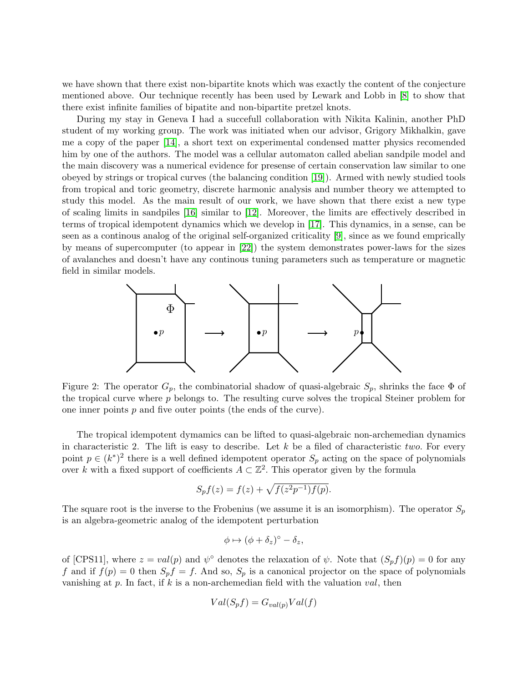we have shown that there exist non-bipartite knots which was exactly the content of the conjecture mentioned above. Our technique recently has been used by Lewark and Lobb in [\[8\]](#page-5-7) to show that there exist infinite families of bipatite and non-bipartite pretzel knots.

During my stay in Geneva I had a succefull collaboration with Nikita Kalinin, another PhD student of my working group. The work was initiated when our advisor, Grigory Mikhalkin, gave me a copy of the paper [\[14\]](#page-5-8), a short text on experimental condensed matter physics recomended him by one of the authors. The model was a cellular automaton called abelian sandpile model and the main discovery was a numerical evidence for presense of certain conservation law similar to one obeyed by strings or tropical curves (the balancing condition [\[19\]](#page-6-1)). Armed with newly studied tools from tropical and toric geometry, discrete harmonic analysis and number theory we attempted to study this model. As the main result of our work, we have shown that there exist a new type of scaling limits in sandpiles [\[16\]](#page-6-2) similar to [\[12\]](#page-5-9). Moreover, the limits are effectively described in terms of tropical idempotent dynamics which we develop in [\[17\]](#page-6-3). This dynamics, in a sense, can be seen as a continous analog of the original self-organized criticality [\[9\]](#page-5-10), since as we found emprically by means of supercomputer (to appear in [\[22\]](#page-6-4)) the system demonstrates power-laws for the sizes of avalanches and doesn't have any continous tuning parameters such as temperature or magnetic field in similar models.

<span id="page-1-0"></span>

Figure 2: The operator  $G_p$ , the combinatorial shadow of quasi-algebraic  $S_p$ , shrinks the face  $\Phi$  of the tropical curve where p belongs to. The resulting curve solves the tropical Steiner problem for one inner points p and five outer points (the ends of the curve).

The tropical idempotent dymamics can be lifted to quasi-algebraic non-archemedian dynamics in characteristic 2. The lift is easy to describe. Let  $k$  be a filed of characteristic two. For every point  $p \in (k^*)^2$  there is a well defined idempotent operator  $S_p$  acting on the space of polynomials over k with a fixed support of coefficients  $A \subset \mathbb{Z}^2$ . This operator given by the formula

$$
S_p f(z) = f(z) + \sqrt{f(z^2 p^{-1}) f(p)}.
$$

The square root is the inverse to the Frobenius (we assume it is an isomorphism). The operator  $S_p$ is an algebra-geometric analog of the idempotent perturbation

$$
\phi \mapsto (\phi + \delta_z)^{\circ} - \delta_z,
$$

of [CPS11], where  $z = val(p)$  and  $\psi^{\circ}$  denotes the relaxation of  $\psi$ . Note that  $(S_p f)(p) = 0$  for any f and if  $f(p) = 0$  then  $S_p f = f$ . And so,  $S_p$  is a canonical projector on the space of polynomials vanishing at  $p$ . In fact, if  $k$  is a non-archemedian field with the valuation  $val$ , then

$$
Val(S_p f) = G_{val(p)} Val(f)
$$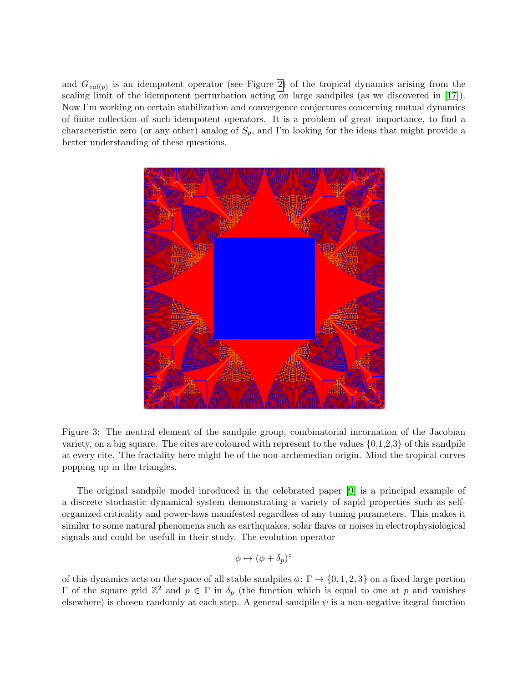and  $G_{val(p)}$  is an idempotent operator (see Figure [2\)](#page-1-0) of the tropical dynamics arising from the scaling limit of the idempotent perturbation acting on large sandpiles (as we discovered in [\[17\]](#page-6-3)). Now I'm working on certain stabilization and convergence conjectures concerning mutual dynamics of finite collection of such idempotent operators. It is a problem of great importance, to find a characteristic zero (or any other) analog of  $S_p$ , and I'm looking for the ideas that might provide a better understanding of these questions.

<span id="page-2-0"></span>

Figure 3: The neutral element of the sandpile group, combinatorial incornation of the Jacobian variety, on a big square. The cites are coloured with represent to the values  $\{0,1,2,3\}$  of this sandpile at every cite. The fractality here might be of the non-archemedian origin. Mind the tropical curves popping up in the triangles.

The original sandpile model inroduced in the celebrated paper [\[9\]](#page-5-10) is a principal example of a discrete stochastic dynamical system demonstrating a variety of sapid properties such as selforganized criticality and power-laws manifested regardless of any tuning parameters. This makes it similar to some natural phenomena such as earthquakes, solar flares or noises in electrophysiological signals and could be usefull in their study. The evolution operator

$$
\phi \mapsto (\phi + \delta_p)^{\circ}
$$

of this dynamics acts on the space of all stable sandpiles  $\phi \colon \Gamma \to \{0, 1, 2, 3\}$  on a fixed large portion Γ of the square grid  $\mathbb{Z}^2$  and  $p \in \Gamma$  in  $\delta_p$  (the function which is equal to one at p and vanishes elsewhere) is chosen randomly at each step. A general sandpile  $\psi$  is a non-negative itegral function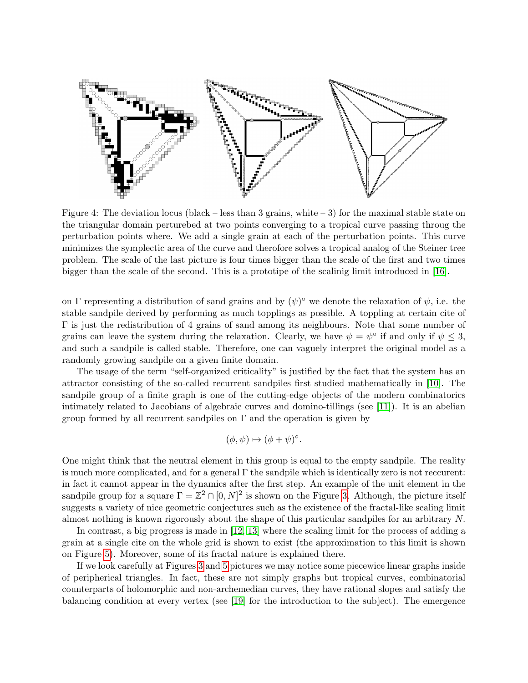

Figure 4: The deviation locus (black – less than 3 grains, white  $-3$ ) for the maximal stable state on the triangular domain perturebed at two points converging to a tropical curve passing throug the perturbation points where. We add a single grain at each of the perturbation points. This curve minimizes the symplectic area of the curve and therofore solves a tropical analog of the Steiner tree problem. The scale of the last picture is four times bigger than the scale of the first and two times bigger than the scale of the second. This is a prototipe of the scalinig limit introduced in [\[16\]](#page-6-2).

on Γ representing a distribution of sand grains and by  $(\psi)^\circ$  we denote the relaxation of  $\psi$ , i.e. the stable sandpile derived by performing as much topplings as possible. A toppling at certain cite of Γ is just the redistribution of 4 grains of sand among its neighbours. Note that some number of grains can leave the system during the relaxation. Clearly, we have  $\psi = \psi^{\circ}$  if and only if  $\psi \leq 3$ , and such a sandpile is called stable. Therefore, one can vaguely interpret the original model as a randomly growing sandpile on a given finite domain.

The usage of the term "self-organized criticality" is justified by the fact that the system has an attractor consisting of the so-called recurrent sandpiles first studied mathematically in [\[10\]](#page-5-11). The sandpile group of a finite graph is one of the cutting-edge objects of the modern combinatorics intimately related to Jacobians of algebraic curves and domino-tillings (see [\[11\]](#page-5-12)). It is an abelian group formed by all recurrent sandpiles on  $\Gamma$  and the operation is given by

$$
(\phi, \psi) \mapsto (\phi + \psi)^{\circ}.
$$

One might think that the neutral element in this group is equal to the empty sandpile. The reality is much more complicated, and for a general  $\Gamma$  the sandpile which is identically zero is not reccurent: in fact it cannot appear in the dynamics after the first step. An example of the unit element in the sandpile group for a square  $\Gamma = \mathbb{Z}^2 \cap [0, N]^2$  is shown on the Figure [3.](#page-2-0) Although, the picture itself suggests a variety of nice geometric conjectures such as the existence of the fractal-like scaling limit almost nothing is known rigorously about the shape of this particular sandpiles for an arbitrary N.

In contrast, a big progress is made in [\[12,](#page-5-9) [13\]](#page-5-13) where the scaling limit for the process of adding a grain at a single cite on the whole grid is shown to exist (the approximation to this limit is shown on Figure [5\)](#page-4-0). Moreover, some of its fractal nature is explained there.

If we look carefully at Figures [3](#page-2-0) and [5](#page-4-0) pictures we may notice some piecewice linear graphs inside of peripherical triangles. In fact, these are not simply graphs but tropical curves, combinatorial counterparts of holomorphic and non-archemedian curves, they have rational slopes and satisfy the balancing condition at every vertex (see [\[19\]](#page-6-1) for the introduction to the subject). The emergence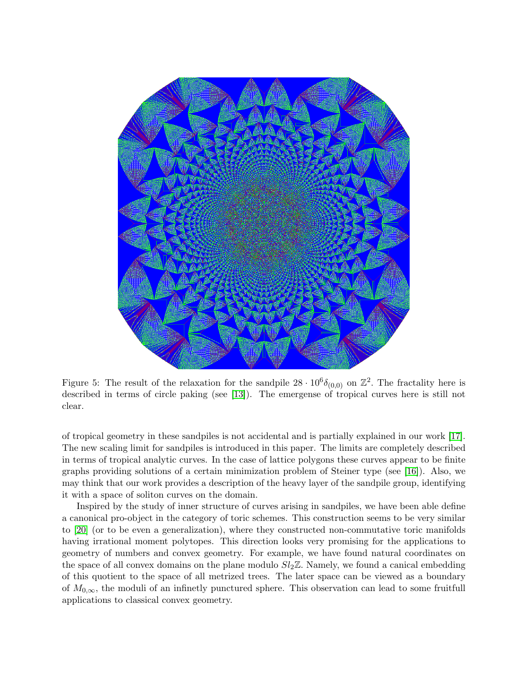<span id="page-4-0"></span>

Figure 5: The result of the relaxation for the sandpile  $28 \cdot 10^6 \delta_{(0,0)}$  on  $\mathbb{Z}^2$ . The fractality here is described in terms of circle paking (see [\[13\]](#page-5-13)). The emergense of tropical curves here is still not clear.

of tropical geometry in these sandpiles is not accidental and is partially explained in our work [\[17\]](#page-6-3). The new scaling limit for sandpiles is introduced in this paper. The limits are completely described in terms of tropical analytic curves. In the case of lattice polygons these curves appear to be finite graphs providing solutions of a certain minimization problem of Steiner type (see [\[16\]](#page-6-2)). Also, we may think that our work provides a description of the heavy layer of the sandpile group, identifying it with a space of soliton curves on the domain.

Inspired by the study of inner structure of curves arising in sandpiles, we have been able define a canonical pro-object in the category of toric schemes. This construction seems to be very similar to [\[20\]](#page-6-5) (or to be even a generalization), where they constructed non-commutative toric manifolds having irrational moment polytopes. This direction looks very promising for the applications to geometry of numbers and convex geometry. For example, we have found natural coordinates on the space of all convex domains on the plane modulo  $Sl<sub>2</sub>\mathbb{Z}$ . Namely, we found a canical embedding of this quotient to the space of all metrized trees. The later space can be viewed as a boundary of  $M_{0,\infty}$ , the moduli of an infinetly punctured sphere. This observation can lead to some fruitfull applications to classical convex geometry.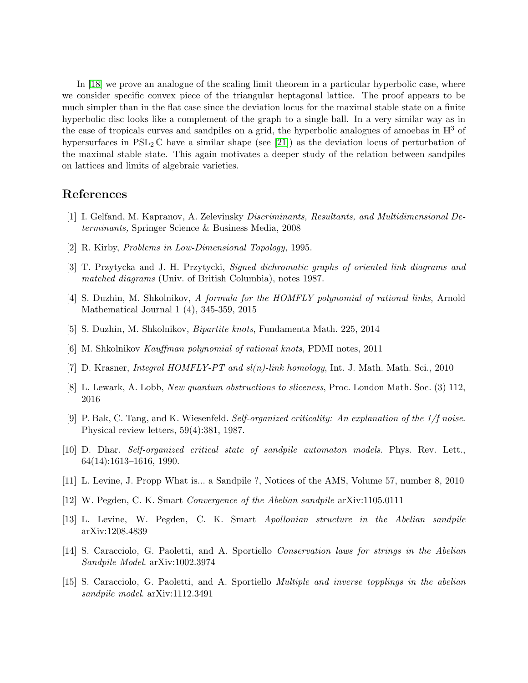In [\[18\]](#page-6-6) we prove an analogue of the scaling limit theorem in a particular hyperbolic case, where we consider specific convex piece of the triangular heptagonal lattice. The proof appears to be much simpler than in the flat case since the deviation locus for the maximal stable state on a finite hyperbolic disc looks like a complement of the graph to a single ball. In a very similar way as in the case of tropicals curves and sandpiles on a grid, the hyperbolic analogues of amoebas in  $\mathbb{H}^3$  of hypersurfaces in  $PSL_2 \mathbb{C}$  have a similar shape (see [\[21\]](#page-6-0)) as the deviation locus of perturbation of the maximal stable state. This again motivates a deeper study of the relation between sandpiles on lattices and limits of algebraic varieties.

## References

- <span id="page-5-0"></span>[1] I. Gelfand, M. Kapranov, A. Zelevinsky Discriminants, Resultants, and Multidimensional Determinants, Springer Science & Business Media, 2008
- <span id="page-5-3"></span>[2] R. Kirby, Problems in Low-Dimensional Topology, 1995.
- <span id="page-5-2"></span>[3] T. Przytycka and J. H. Przytycki, Signed dichromatic graphs of oriented link diagrams and matched diagrams (Univ. of British Columbia), notes 1987.
- <span id="page-5-4"></span>[4] S. Duzhin, M. Shkolnikov, A formula for the HOMFLY polynomial of rational links, Arnold Mathematical Journal 1 (4), 345-359, 2015
- <span id="page-5-1"></span>[5] S. Duzhin, M. Shkolnikov, Bipartite knots, Fundamenta Math. 225, 2014
- <span id="page-5-5"></span>[6] M. Shkolnikov Kauffman polynomial of rational knots, PDMI notes, 2011
- <span id="page-5-6"></span>[7] D. Krasner, Integral HOMFLY-PT and sl(n)-link homology, Int. J. Math. Math. Sci., 2010
- <span id="page-5-7"></span>[8] L. Lewark, A. Lobb, New quantum obstructions to sliceness, Proc. London Math. Soc. (3) 112, 2016
- <span id="page-5-10"></span>[9] P. Bak, C. Tang, and K. Wiesenfeld. Self-organized criticality: An explanation of the  $1/f$  noise. Physical review letters, 59(4):381, 1987.
- <span id="page-5-11"></span>[10] D. Dhar. Self-organized critical state of sandpile automaton models. Phys. Rev. Lett., 64(14):1613–1616, 1990.
- <span id="page-5-12"></span>[11] L. Levine, J. Propp What is... a Sandpile ?, Notices of the AMS, Volume 57, number 8, 2010
- <span id="page-5-9"></span>[12] W. Pegden, C. K. Smart Convergence of the Abelian sandpile arXiv:1105.0111
- <span id="page-5-13"></span>[13] L. Levine, W. Pegden, C. K. Smart Apollonian structure in the Abelian sandpile arXiv:1208.4839
- <span id="page-5-8"></span>[14] S. Caracciolo, G. Paoletti, and A. Sportiello Conservation laws for strings in the Abelian Sandpile Model. arXiv:1002.3974
- [15] S. Caracciolo, G. Paoletti, and A. Sportiello Multiple and inverse topplings in the abelian sandpile model. arXiv:1112.3491